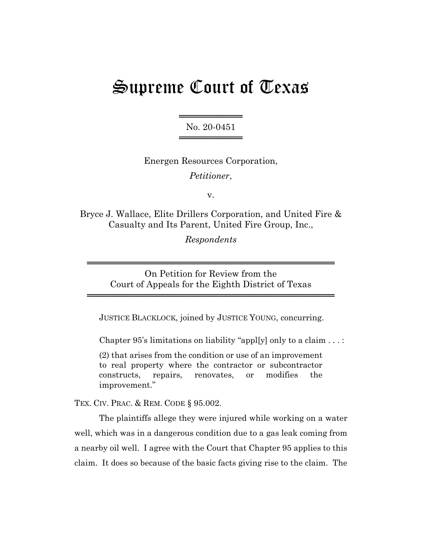## Supreme Court of Texas

══════════════════ No. 20-0451 ════════════════

Energen Resources Corporation, *Petitioner*,

v.

Bryce J. Wallace, Elite Drillers Corporation, and United Fire & Casualty and Its Parent, United Fire Group, Inc.,

*Respondents*

On Petition for Review from the Court of Appeals for the Eighth District of Texas

═══════════════════════════════════════

═══════════════════════════════════════

JUSTICE BLACKLOCK, joined by JUSTICE YOUNG, concurring.

Chapter 95's limitations on liability "appl[y] only to a claim . . . :

(2) that arises from the condition or use of an improvement to real property where the contractor or subcontractor constructs, repairs, renovates, or modifies the improvement."

TEX. CIV. PRAC. & REM. CODE § 95.002.

The plaintiffs allege they were injured while working on a water well, which was in a dangerous condition due to a gas leak coming from a nearby oil well. I agree with the Court that Chapter 95 applies to this claim. It does so because of the basic facts giving rise to the claim. The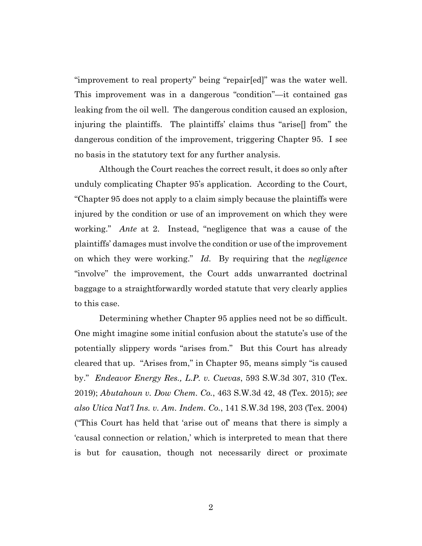"improvement to real property" being "repair[ed]" was the water well. This improvement was in a dangerous "condition"—it contained gas leaking from the oil well. The dangerous condition caused an explosion, injuring the plaintiffs. The plaintiffs' claims thus "arise[] from" the dangerous condition of the improvement, triggering Chapter 95. I see no basis in the statutory text for any further analysis.

Although the Court reaches the correct result, it does so only after unduly complicating Chapter 95's application. According to the Court, "Chapter 95 does not apply to a claim simply because the plaintiffs were injured by the condition or use of an improvement on which they were working." *Ante* at 2. Instead, "negligence that was a cause of the plaintiffs' damages must involve the condition or use of the improvement on which they were working." *Id.* By requiring that the *negligence* "involve" the improvement, the Court adds unwarranted doctrinal baggage to a straightforwardly worded statute that very clearly applies to this case.

Determining whether Chapter 95 applies need not be so difficult. One might imagine some initial confusion about the statute's use of the potentially slippery words "arises from." But this Court has already cleared that up. "Arises from," in Chapter 95, means simply "is caused by." *Endeavor Energy Res., L.P. v. Cuevas*, 593 S.W.3d 307, 310 (Tex. 2019); *Abutahoun v. Dow Chem. Co.*, 463 S.W.3d 42, 48 (Tex. 2015); *see also Utica Nat'l Ins. v. Am. Indem. Co.*, 141 S.W.3d 198, 203 (Tex. 2004) ("This Court has held that 'arise out of' means that there is simply a 'causal connection or relation,' which is interpreted to mean that there is but for causation, though not necessarily direct or proximate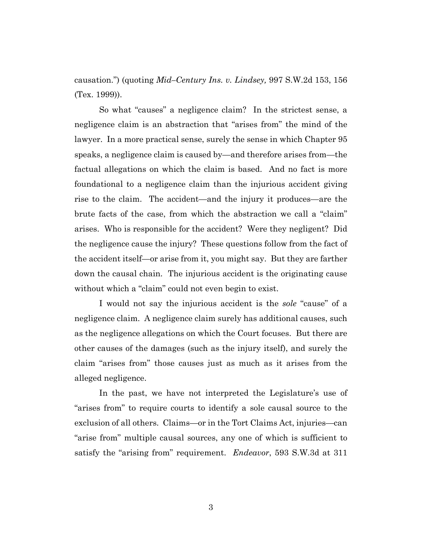causation.") (quoting *Mid–Century Ins. v. Lindsey,* 997 S.W.2d 153, 156 (Tex. 1999)).

So what "causes" a negligence claim? In the strictest sense, a negligence claim is an abstraction that "arises from" the mind of the lawyer. In a more practical sense, surely the sense in which Chapter 95 speaks, a negligence claim is caused by—and therefore arises from—the factual allegations on which the claim is based. And no fact is more foundational to a negligence claim than the injurious accident giving rise to the claim. The accident—and the injury it produces—are the brute facts of the case, from which the abstraction we call a "claim" arises. Who is responsible for the accident? Were they negligent? Did the negligence cause the injury? These questions follow from the fact of the accident itself—or arise from it, you might say. But they are farther down the causal chain. The injurious accident is the originating cause without which a "claim" could not even begin to exist.

I would not say the injurious accident is the *sole* "cause" of a negligence claim. A negligence claim surely has additional causes, such as the negligence allegations on which the Court focuses. But there are other causes of the damages (such as the injury itself), and surely the claim "arises from" those causes just as much as it arises from the alleged negligence.

In the past, we have not interpreted the Legislature's use of "arises from" to require courts to identify a sole causal source to the exclusion of all others. Claims—or in the Tort Claims Act, injuries—can "arise from" multiple causal sources, any one of which is sufficient to satisfy the "arising from" requirement. *Endeavor*, 593 S.W.3d at 311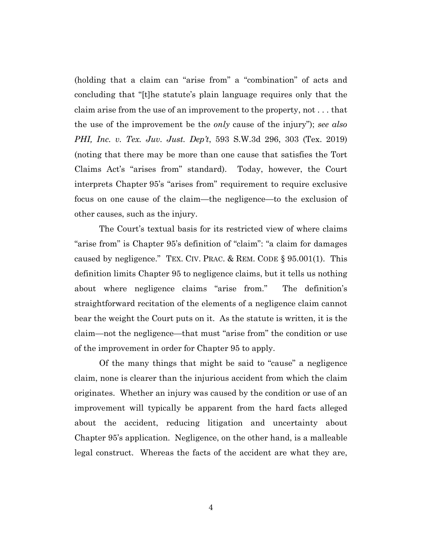(holding that a claim can "arise from" a "combination" of acts and concluding that "[t]he statute's plain language requires only that the claim arise from the use of an improvement to the property, not . . . that the use of the improvement be the *only* cause of the injury"); *see also PHI, Inc. v. Tex. Juv. Just. Dep't*, 593 S.W.3d 296, 303 (Tex. 2019) (noting that there may be more than one cause that satisfies the Tort Claims Act's "arises from" standard). Today, however, the Court interprets Chapter 95's "arises from" requirement to require exclusive focus on one cause of the claim—the negligence—to the exclusion of other causes, such as the injury.

The Court's textual basis for its restricted view of where claims "arise from" is Chapter 95's definition of "claim": "a claim for damages caused by negligence." TEX. CIV. PRAC.  $&$  REM. CODE  $\S$  95.001(1). This definition limits Chapter 95 to negligence claims, but it tells us nothing about where negligence claims "arise from." The definition's straightforward recitation of the elements of a negligence claim cannot bear the weight the Court puts on it. As the statute is written, it is the claim—not the negligence—that must "arise from" the condition or use of the improvement in order for Chapter 95 to apply.

Of the many things that might be said to "cause" a negligence claim, none is clearer than the injurious accident from which the claim originates. Whether an injury was caused by the condition or use of an improvement will typically be apparent from the hard facts alleged about the accident, reducing litigation and uncertainty about Chapter 95's application. Negligence, on the other hand, is a malleable legal construct. Whereas the facts of the accident are what they are,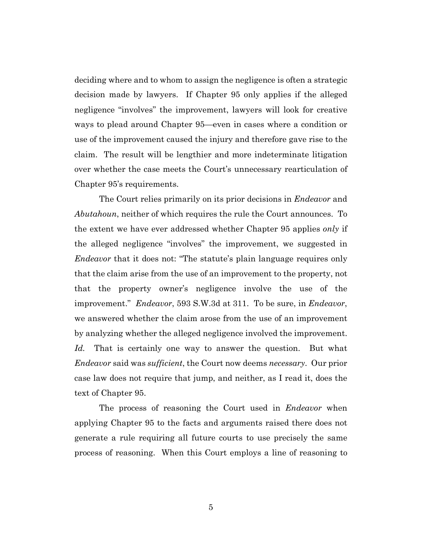deciding where and to whom to assign the negligence is often a strategic decision made by lawyers. If Chapter 95 only applies if the alleged negligence "involves" the improvement, lawyers will look for creative ways to plead around Chapter 95—even in cases where a condition or use of the improvement caused the injury and therefore gave rise to the claim. The result will be lengthier and more indeterminate litigation over whether the case meets the Court's unnecessary rearticulation of Chapter 95's requirements.

The Court relies primarily on its prior decisions in *Endeavor* and *Abutahoun*, neither of which requires the rule the Court announces. To the extent we have ever addressed whether Chapter 95 applies *only* if the alleged negligence "involves" the improvement, we suggested in *Endeavor* that it does not: "The statute's plain language requires only that the claim arise from the use of an improvement to the property, not that the property owner's negligence involve the use of the improvement." *Endeavor*, 593 S.W.3d at 311. To be sure, in *Endeavor*, we answered whether the claim arose from the use of an improvement by analyzing whether the alleged negligence involved the improvement. *Id.* That is certainly one way to answer the question. But what *Endeavor* said was *sufficient*, the Court now deems *necessary*. Our prior case law does not require that jump, and neither, as I read it, does the text of Chapter 95.

The process of reasoning the Court used in *Endeavor* when applying Chapter 95 to the facts and arguments raised there does not generate a rule requiring all future courts to use precisely the same process of reasoning. When this Court employs a line of reasoning to